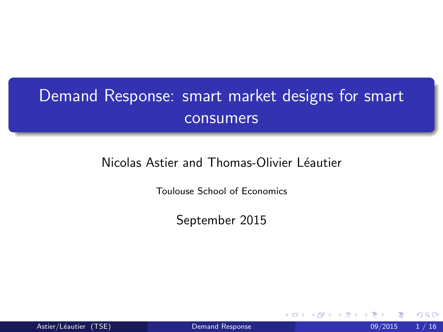# <span id="page-0-0"></span>Demand Response: smart market designs for smart consumers

#### Nicolas Astier and Thomas-Olivier Léautier

Toulouse School of Economics

September 2015

Astier/Léautier (TSE) [Demand Response](#page-56-0) 1 / 16

 $\leftarrow$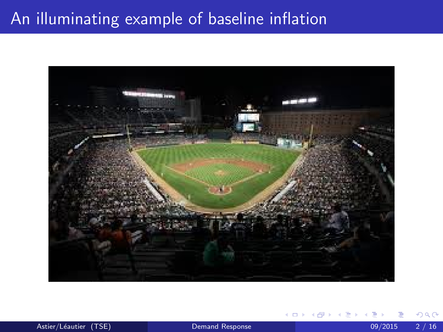## An illuminating example of baseline inflation



Astier/Léautier (TSE) [Demand Response](#page-0-0) 09/2015 2/16

4 0 8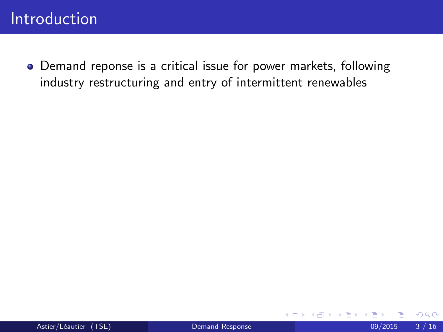Demand reponse is a critical issue for power markets, following industry restructuring and entry of intermittent renewables

4 0 8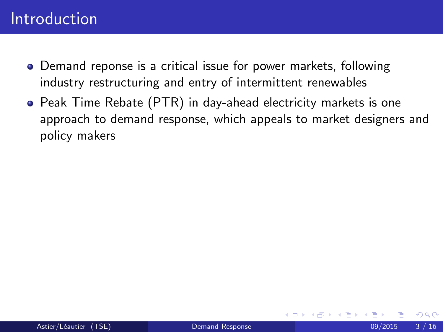- Demand reponse is a critical issue for power markets, following industry restructuring and entry of intermittent renewables
- **•** Peak Time Rebate (PTR) in day-ahead electricity markets is one approach to demand response, which appeals to market designers and policy makers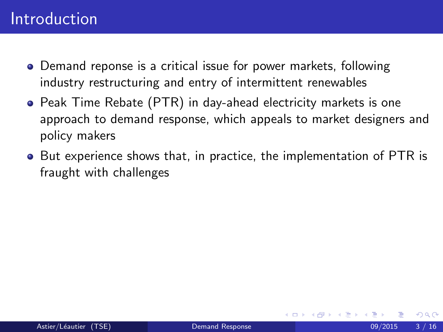- Demand reponse is a critical issue for power markets, following industry restructuring and entry of intermittent renewables
- **•** Peak Time Rebate (PTR) in day-ahead electricity markets is one approach to demand response, which appeals to market designers and policy makers
- But experience shows that, in practice, the implementation of PTR is fraught with challenges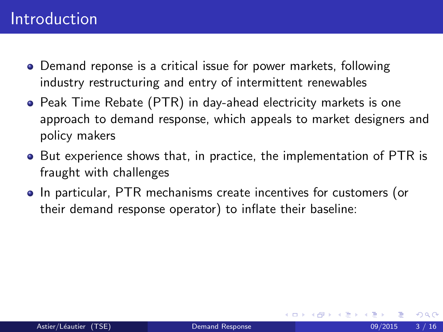- Demand reponse is a critical issue for power markets, following industry restructuring and entry of intermittent renewables
- **•** Peak Time Rebate (PTR) in day-ahead electricity markets is one approach to demand response, which appeals to market designers and policy makers
- But experience shows that, in practice, the implementation of PTR is fraught with challenges
- In particular, PTR mechanisms create incentives for customers (or their demand response operator) to inflate their baseline: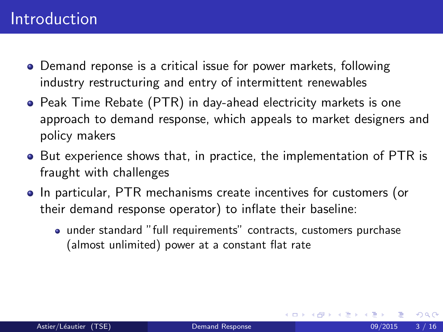- Demand reponse is a critical issue for power markets, following industry restructuring and entry of intermittent renewables
- **•** Peak Time Rebate (PTR) in day-ahead electricity markets is one approach to demand response, which appeals to market designers and policy makers
- But experience shows that, in practice, the implementation of PTR is fraught with challenges
- In particular, PTR mechanisms create incentives for customers (or their demand response operator) to inflate their baseline:
	- under standard "full requirements" contracts, customers purchase (almost unlimited) power at a constant flat rate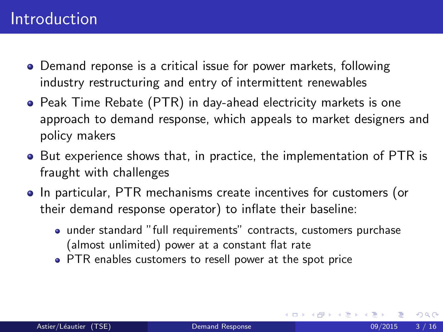- Demand reponse is a critical issue for power markets, following industry restructuring and entry of intermittent renewables
- **•** Peak Time Rebate (PTR) in day-ahead electricity markets is one approach to demand response, which appeals to market designers and policy makers
- But experience shows that, in practice, the implementation of PTR is fraught with challenges
- In particular, PTR mechanisms create incentives for customers (or their demand response operator) to inflate their baseline:
	- under standard "full requirements" contracts, customers purchase (almost unlimited) power at a constant flat rate
	- PTR enables customers to resell power at the spot price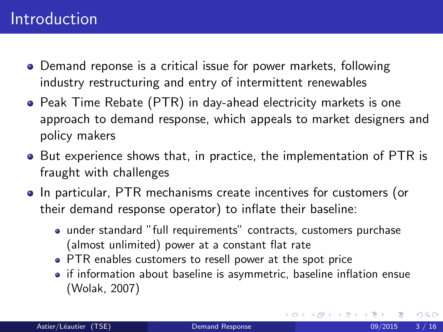- Demand reponse is a critical issue for power markets, following industry restructuring and entry of intermittent renewables
- **•** Peak Time Rebate (PTR) in day-ahead electricity markets is one approach to demand response, which appeals to market designers and policy makers
- But experience shows that, in practice, the implementation of PTR is fraught with challenges
- In particular, PTR mechanisms create incentives for customers (or their demand response operator) to inflate their baseline:
	- under standard "full requirements" contracts, customers purchase (almost unlimited) power at a constant flat rate
	- PTR enables customers to resell power at the spot price
	- if information about baseline is asymmetric, baseline inflation ensue (Wolak, 2007)

4 D F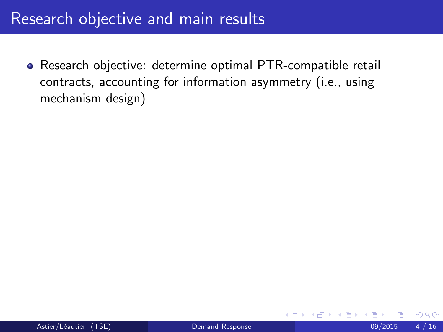Research objective: determine optimal PTR-compatible retail contracts, accounting for information asymmetry (i.e., using mechanism design)

4 0 8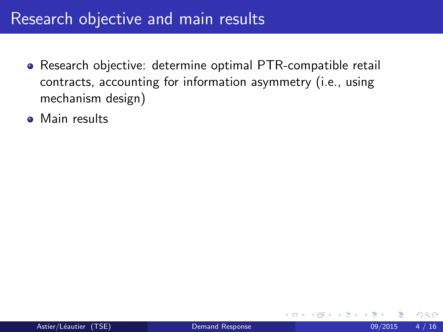- Research objective: determine optimal PTR-compatible retail contracts, accounting for information asymmetry (i.e., using mechanism design)
- **Main results**

4 0 8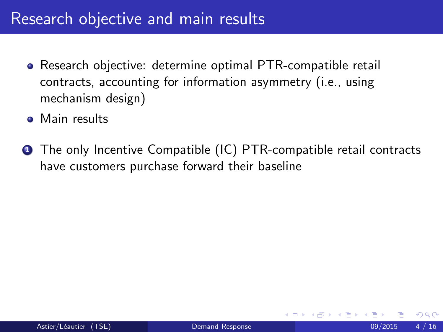- Research objective: determine optimal PTR-compatible retail contracts, accounting for information asymmetry (i.e., using mechanism design)
- **Main results**
- **1** The only Incentive Compatible (IC) PTR-compatible retail contracts have customers purchase forward their baseline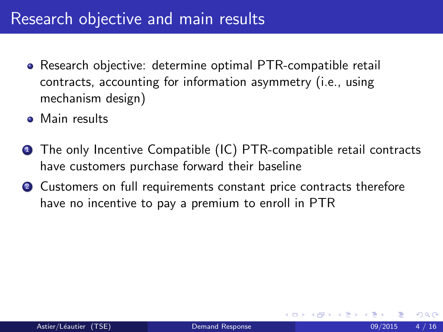- Research objective: determine optimal PTR-compatible retail contracts, accounting for information asymmetry (i.e., using mechanism design)
- **Main results**
- **1** The only Incentive Compatible (IC) PTR-compatible retail contracts have customers purchase forward their baseline
- **2** Customers on full requirements constant price contracts therefore have no incentive to pay a premium to enroll in PTR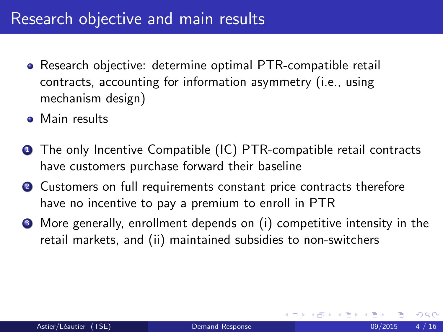- Research objective: determine optimal PTR-compatible retail contracts, accounting for information asymmetry (i.e., using mechanism design)
- **Main results**
- **1** The only Incentive Compatible (IC) PTR-compatible retail contracts have customers purchase forward their baseline
- **2** Customers on full requirements constant price contracts therefore have no incentive to pay a premium to enroll in PTR
- <sup>3</sup> More generally, enrollment depends on (i) competitive intensity in the retail markets, and (ii) maintained subsidies to non-switchers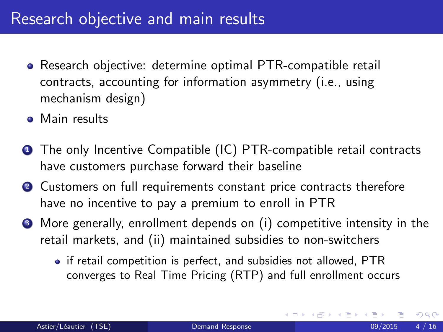- Research objective: determine optimal PTR-compatible retail contracts, accounting for information asymmetry (i.e., using mechanism design)
- **Main results**
- **1** The only Incentive Compatible (IC) PTR-compatible retail contracts have customers purchase forward their baseline
- **2** Customers on full requirements constant price contracts therefore have no incentive to pay a premium to enroll in PTR
- <sup>3</sup> More generally, enrollment depends on (i) competitive intensity in the retail markets, and (ii) maintained subsidies to non-switchers
	- if retail competition is perfect, and subsidies not allowed, PTR converges to Real Time Pricing (RTP) and full enrollment occurs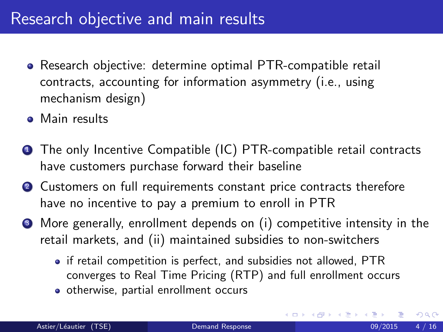- Research objective: determine optimal PTR-compatible retail contracts, accounting for information asymmetry (i.e., using mechanism design)
- **Main results**
- **1** The only Incentive Compatible (IC) PTR-compatible retail contracts have customers purchase forward their baseline
- **2** Customers on full requirements constant price contracts therefore have no incentive to pay a premium to enroll in PTR
- <sup>3</sup> More generally, enrollment depends on (i) competitive intensity in the retail markets, and (ii) maintained subsidies to non-switchers
	- if retail competition is perfect, and subsidies not allowed, PTR converges to Real Time Pricing (RTP) and full enrollment occurs

4 0 8

• otherwise, partial enrollment occurs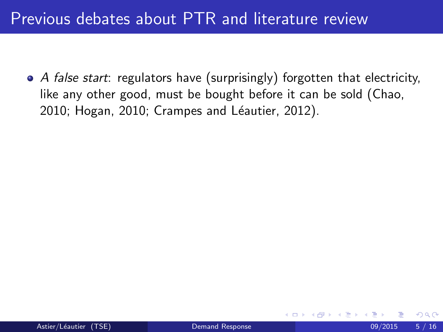## Previous debates about PTR and literature review

• A false start: regulators have (surprisingly) forgotten that electricity, like any other good, must be bought before it can be sold (Chao, 2010; Hogan, 2010; Crampes and Léautier, 2012).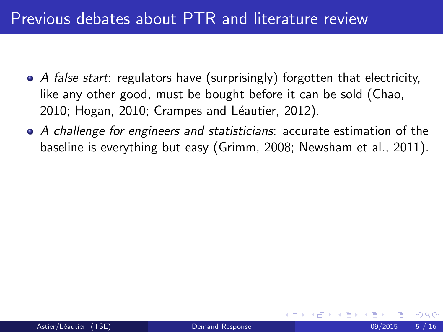## Previous debates about PTR and literature review

- A false start: regulators have (surprisingly) forgotten that electricity, like any other good, must be bought before it can be sold (Chao, 2010; Hogan, 2010; Crampes and Léautier, 2012).
- A challenge for engineers and statisticians: accurate estimation of the baseline is everything but easy (Grimm, 2008; Newsham et al., 2011).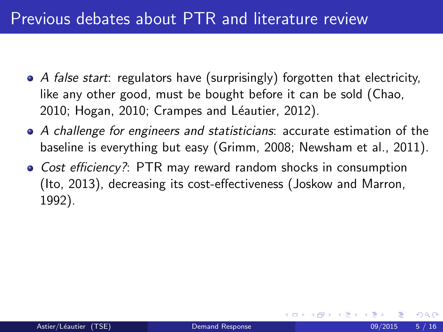- $\bullet$  A false start: regulators have (surprisingly) forgotten that electricity, like any other good, must be bought before it can be sold (Chao, 2010; Hogan, 2010; Crampes and Léautier, 2012).
- A challenge for engineers and statisticians: accurate estimation of the baseline is everything but easy (Grimm, 2008; Newsham et al., 2011).
- Cost efficiency?: PTR may reward random shocks in consumption (Ito, 2013), decreasing its cost-effectiveness (Joskow and Marron, 1992).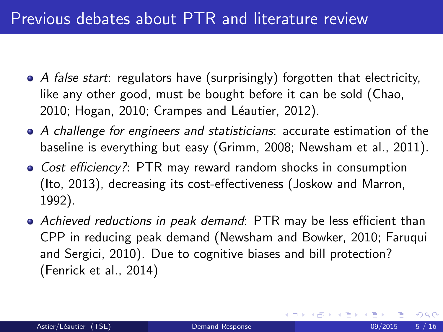- $\bullet$  A false start: regulators have (surprisingly) forgotten that electricity, like any other good, must be bought before it can be sold (Chao, 2010; Hogan, 2010; Crampes and Léautier, 2012).
- A challenge for engineers and statisticians: accurate estimation of the baseline is everything but easy (Grimm, 2008; Newsham et al., 2011).
- Cost efficiency?: PTR may reward random shocks in consumption (Ito, 2013), decreasing its cost-effectiveness (Joskow and Marron, 1992).
- Achieved reductions in peak demand: PTR may be less efficient than CPP in reducing peak demand (Newsham and Bowker, 2010; Faruqui and Sergici, 2010). Due to cognitive biases and bill protection? (Fenrick et al., 2014)

◂**◻▸ ◂<del>⁄</del>** ▸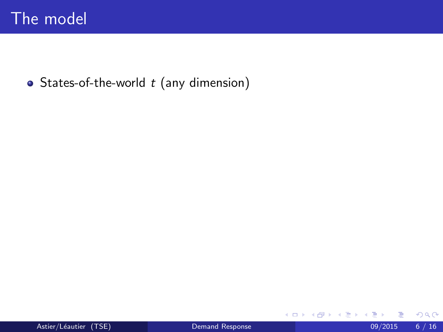• States-of-the-world  $t$  (any dimension)

**K ロ ト K 伊 ト K** 

⊞ ⊁ K э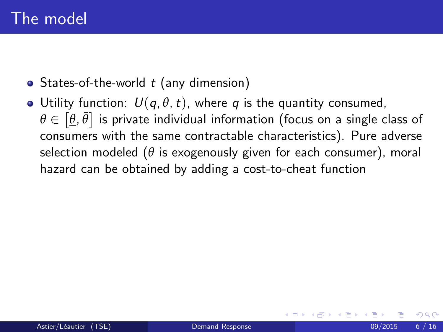- States-of-the-world  $t$  (any dimension)
- Utility function:  $U(q, \theta, t)$ , where q is the quantity consumed,  $\theta \in \left[ \underline{\theta}, \bar{\theta} \right]$  is private individual information (focus on a single class of consumers with the same contractable characteristics). Pure adverse selection modeled ( $\theta$  is exogenously given for each consumer), moral hazard can be obtained by adding a cost-to-cheat function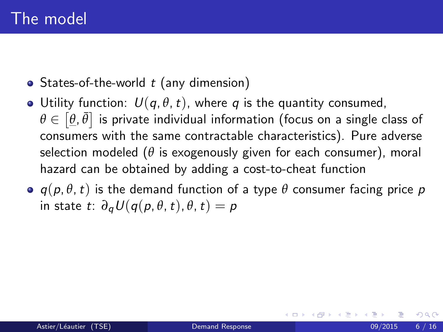- States-of-the-world  $t$  (any dimension)
- Utility function:  $U(q, \theta, t)$ , where q is the quantity consumed,  $\theta \in \left[ \underline{\theta}, \bar{\theta} \right]$  is private individual information (focus on a single class of consumers with the same contractable characteristics). Pure adverse selection modeled ( $\theta$  is exogenously given for each consumer), moral hazard can be obtained by adding a cost-to-cheat function
- $\bullet$   $q(p, \theta, t)$  is the demand function of a type  $\theta$  consumer facing price p in state t:  $\partial_a U(q(p, \theta, t), \theta, t) = p$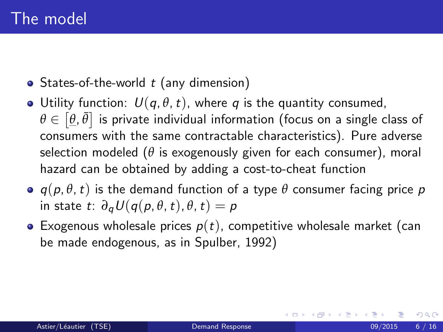- States-of-the-world  $t$  (any dimension)
- Utility function:  $U(q, \theta, t)$ , where q is the quantity consumed,  $\theta \in \left[ \underline{\theta}, \bar{\theta} \right]$  is private individual information (focus on a single class of consumers with the same contractable characteristics). Pure adverse selection modeled ( $\theta$  is exogenously given for each consumer), moral hazard can be obtained by adding a cost-to-cheat function
- $\bullet$   $q(p, \theta, t)$  is the demand function of a type  $\theta$  consumer facing price p in state t:  $\partial_a U(q(p, \theta, t), \theta, t) = p$
- Exogenous wholesale prices  $p(t)$ , competitive wholesale market (can be made endogenous, as in Spulber, 1992)

つへへ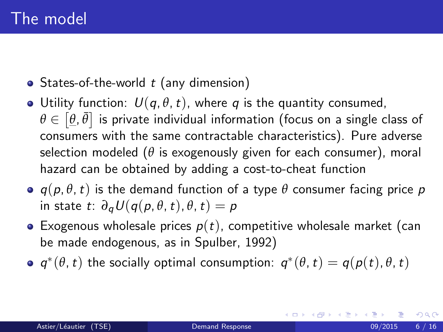- States-of-the-world  $t$  (any dimension)
- Utility function:  $U(q, \theta, t)$ , where q is the quantity consumed,  $\theta \in \left[ \underline{\theta}, \bar{\theta} \right]$  is private individual information (focus on a single class of consumers with the same contractable characteristics). Pure adverse selection modeled ( $\theta$  is exogenously given for each consumer), moral hazard can be obtained by adding a cost-to-cheat function
- $\bullet$   $q(p, \theta, t)$  is the demand function of a type  $\theta$  consumer facing price p in state t:  $\partial_a U(q(p, \theta, t), \theta, t) = p$
- Exogenous wholesale prices  $p(t)$ , competitive wholesale market (can be made endogenous, as in Spulber, 1992)
- $q^*(\theta, t)$  the socially optimal consumption:  $q^*(\theta, t) = q(p(t), \theta, t)$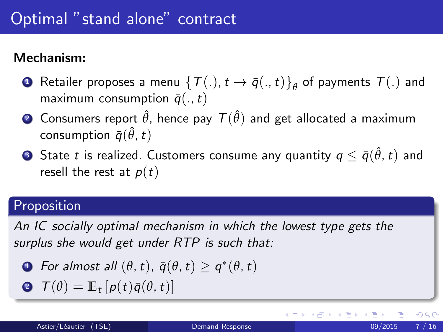#### Mechanism:

- $\bullet$  Retailer proposes a menu  $\big\{ \mathcal{T}(.),t\rightarrow \bar{q}(.,t) \big\} _\theta$  of payments  $\mathcal{T}(.)$  and maximum consumption  $\bar{q}(.,t)$
- $\bullet$  Consumers report  $\hat{\theta}$ , hence pay  $\mathcal{T}(\hat{\theta})$  and get allocated a maximum consumption  $\bar{q}(\hat{\theta},t)$
- $\bullet$  State  $t$  is realized. Customers consume any quantity  $q\leq \bar{q}(\hat{\theta},t)$  and resell the rest at  $p(t)$

#### **Proposition**

An IC socially optimal mechanism in which the lowest type gets the surplus she would get under RTP is such that:

- **1** For almost all  $(\theta, t)$ ,  $\bar{q}(\theta, t) \geq q^*(\theta, t)$
- $\mathbf{P}$   $\mathcal{T}(\theta) = \mathbb{E}_t [p(t)\bar{q}(\theta, t)]$

 $200$ 

イロト イ押 トイヨト イヨ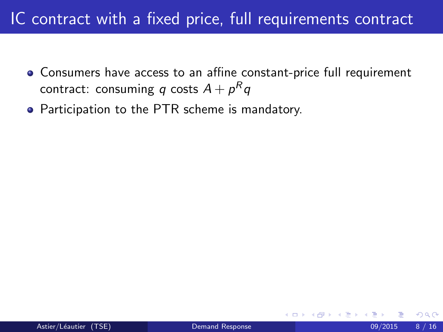# IC contract with a fixed price, full requirements contract

- Consumers have access to an affine constant-price full requirement contract: consuming  $q$  costs  $A + p^R q$
- Participation to the PTR scheme is mandatory.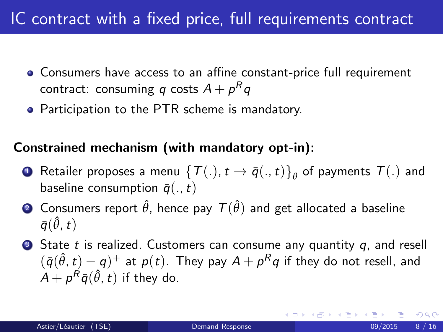# IC contract with a fixed price, full requirements contract

- Consumers have access to an affine constant-price full requirement contract: consuming  $q$  costs  $A + p^R q$
- Participation to the PTR scheme is mandatory.

#### Constrained mechanism (with mandatory opt-in):

- **1** Retailer proposes a menu  $\{T(.), t \rightarrow \bar{q}(.,t)\}_\theta$  of payments  $T(.)$  and baseline consumption  $\bar{q}(.,t)$
- $\bullet$  Consumers report  $\hat{\theta}$ , hence pay  $\mathcal{T}(\hat{\theta})$  and get allocated a baseline  $\bar{q}(\hat{\theta},t)$
- $\bullet$  State t is realized. Customers can consume any quantity q, and resell  $(\bar{q}(\hat{\theta},t)-q)^{+}$  at  $p(t)$ . They pay  $A+p^Rq$  if they do not resell, and  $A + \rho^R \bar{q}(\hat{\theta}, t)$  if they do.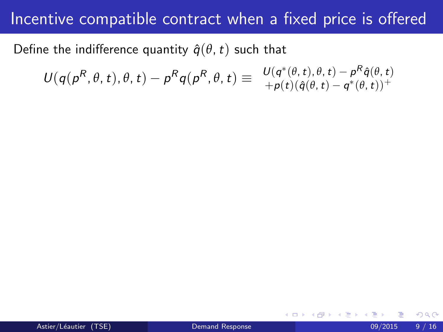Define the indifference quantity  $\hat{q}(\theta, t)$  such that

$$
U(q(p^R, \theta, t), \theta, t) - p^R q(p^R, \theta, t) \equiv \begin{array}{l} U(q^*(\theta, t), \theta, t) - p^R \hat{q}(\theta, t) \\ + p(t) (\hat{q}(\theta, t) - q^*(\theta, t))^+ \end{array}
$$

4 0 8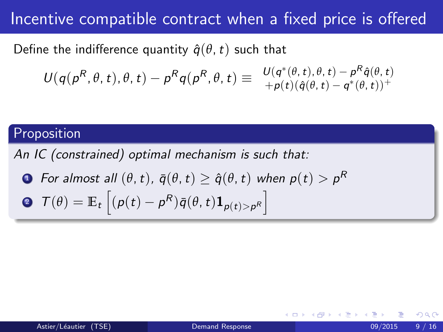Define the indifference quantity  $\hat{q}(\theta, t)$  such that

$$
U(q(p^R, \theta, t), \theta, t) - p^R q(p^R, \theta, t) \equiv \begin{array}{l} U(q^*(\theta, t), \theta, t) - p^R \hat{q}(\theta, t) \\ + p(t) (\hat{q}(\theta, t) - q^*(\theta, t))^+ \end{array}
$$

#### Proposition

An IC (constrained) optimal mechanism is such that:

\n- For almost all 
$$
(\theta, t)
$$
,  $\bar{q}(\theta, t) \geq \hat{q}(\theta, t)$  when  $p(t) > p^R$
\n- Of  $(\theta) = \mathbb{E}_t \left[ (p(t) - p^R) \bar{q}(\theta, t) \mathbf{1}_{p(t) > p^R} \right]$
\n

 $\leftarrow$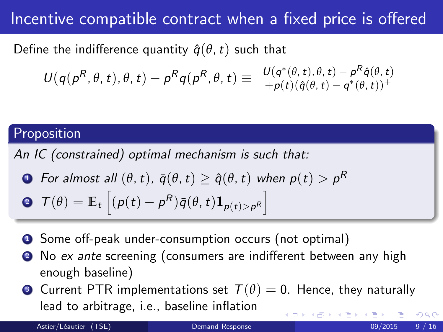Define the indifference quantity  $\hat{q}(\theta, t)$  such that

$$
U(q(p^R, \theta, t), \theta, t) - p^R q(p^R, \theta, t) \equiv \begin{array}{l} U(q^*(\theta, t), \theta, t) - p^R \hat{q}(\theta, t) \\ + p(t) (\hat{q}(\theta, t) - q^*(\theta, t))^+ \end{array}
$$

#### Proposition

An IC (constrained) optimal mechanism is such that:

• For almost all 
$$
(\theta, t)
$$
,  $\bar{q}(\theta, t) \geq \hat{q}(\theta, t)$  when  $p(t) > p^R$ 

$$
\mathbf{P} \ \mathcal{T}(\theta) = \mathbb{E}_{t} \left[ (\rho(t) - \rho^{R}) \bar{q}(\theta, t) \mathbf{1}_{\rho(t) > \rho^{R}} \right]
$$

- **1** Some off-peak under-consumption occurs (not optimal)
- No ex ante screening (consumers are indifferent between any high enough baseline)
- **3** Current PTR implementations set  $T(\theta) = 0$ . Hence, they naturally lead to arbitrage, i.e., baseline inflation  $200$

Astier/Léautier (TSE) [Demand Response](#page-0-0) 09/2015 9/16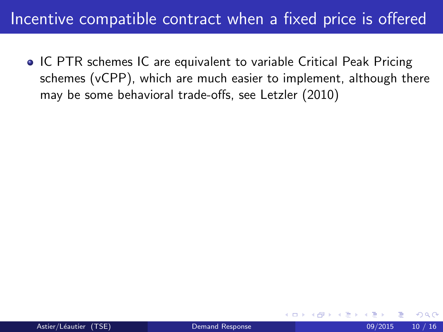**• IC PTR schemes IC are equivalent to variable Critical Peak Pricing** schemes (vCPP), which are much easier to implement, although there may be some behavioral trade-offs, see Letzler (2010)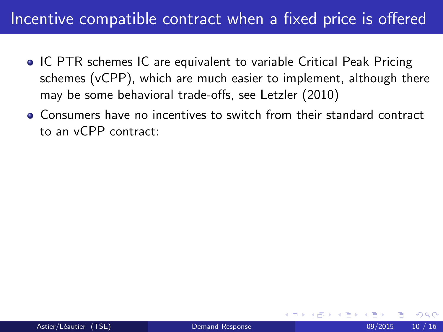- **IC PTR schemes IC are equivalent to variable Critical Peak Pricing** schemes (vCPP), which are much easier to implement, although there may be some behavioral trade-offs, see Letzler (2010)
- Consumers have no incentives to switch from their standard contract to an vCPP contract: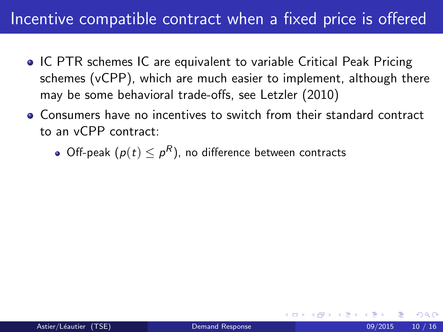- **IC PTR schemes IC are equivalent to variable Critical Peak Pricing** schemes (vCPP), which are much easier to implement, although there may be some behavioral trade-offs, see Letzler (2010)
- Consumers have no incentives to switch from their standard contract to an vCPP contract:
	- Off-peak  $(\rho(t)\leq \rho^R)$ , no difference between contracts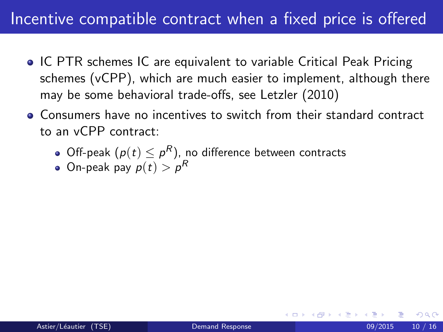- **IC PTR schemes IC are equivalent to variable Critical Peak Pricing** schemes (vCPP), which are much easier to implement, although there may be some behavioral trade-offs, see Letzler (2010)
- Consumers have no incentives to switch from their standard contract to an vCPP contract:
	- Off-peak  $(\rho(t)\leq \rho^R)$ , no difference between contracts
	- On-peak pay  $\rho(t) > \rho^R$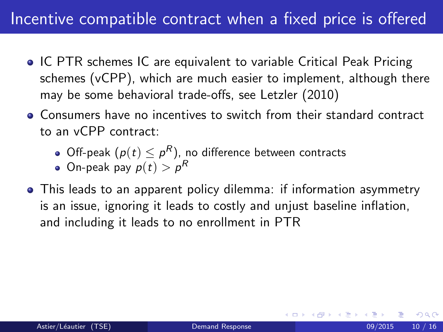- **IC PTR schemes IC are equivalent to variable Critical Peak Pricing** schemes (vCPP), which are much easier to implement, although there may be some behavioral trade-offs, see Letzler (2010)
- Consumers have no incentives to switch from their standard contract to an vCPP contract:
	- Off-peak  $(\rho(t)\leq \rho^R)$ , no difference between contracts
	- On-peak pay  $\rho(t) > \rho^R$
- This leads to an apparent policy dilemma: if information asymmetry is an issue, ignoring it leads to costly and unjust baseline inflation, and including it leads to no enrollment in PTR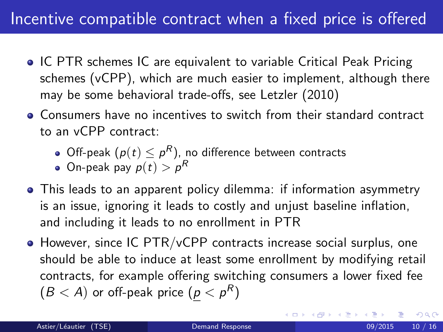- **IC PTR schemes IC are equivalent to variable Critical Peak Pricing** schemes (vCPP), which are much easier to implement, although there may be some behavioral trade-offs, see Letzler (2010)
- Consumers have no incentives to switch from their standard contract to an vCPP contract:
	- Off-peak  $(\rho(t)\leq \rho^R)$ , no difference between contracts
	- On-peak pay  $\rho(t) > \rho^R$
- This leads to an apparent policy dilemma: if information asymmetry is an issue, ignoring it leads to costly and unjust baseline inflation, and including it leads to no enrollment in PTR
- However, since IC PTR/vCPP contracts increase social surplus, one should be able to induce at least some enrollment by modifying retail contracts, for example offering switching consumers a lower fixed fee  $(B < A)$  or off-peak price  $(p < p^R)$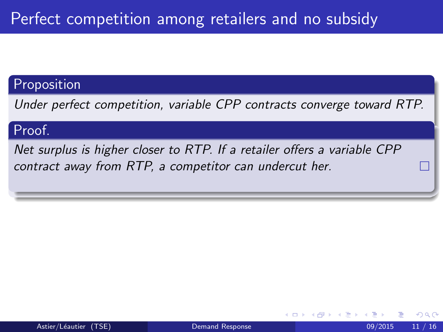#### Proposition

Under perfect competition, variable CPP contracts converge toward RTP.

#### Proof.

Net surplus is higher closer to RTP. If a retailer offers a variable CPP contract away from RTP, a competitor can undercut her.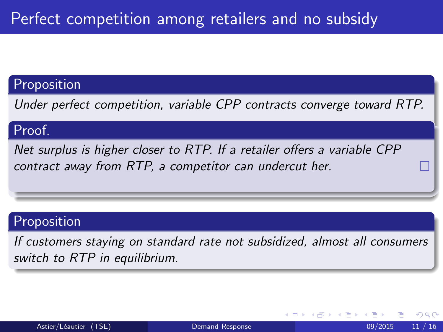#### Proposition

Under perfect competition, variable CPP contracts converge toward RTP.

#### Proof.

Net surplus is higher closer to RTP. If a retailer offers a variable CPP contract away from RTP, a competitor can undercut her.

#### Proposition

If customers staying on standard rate not subsidized, almost all consumers switch to RTP in equilibrium.

4 0 8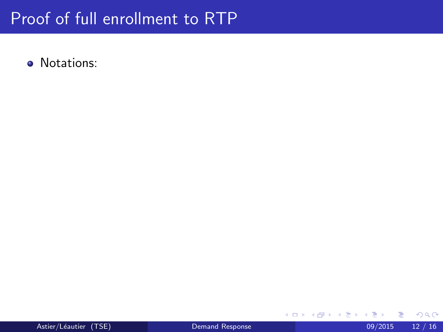• Notations:

в

**K ロ ⊁ K 倒 ≯ K 差 ≯ K**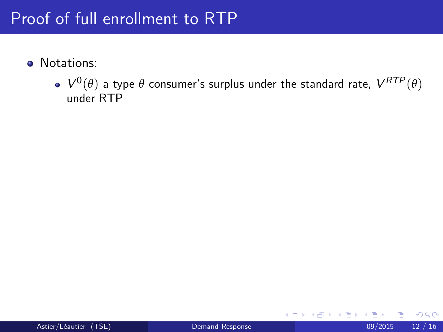- **·** Notations:
	- $V^0(\theta)$  a type  $\theta$  consumer's surplus under the standard rate,  $V^{RTP}(\theta)$ under RTP

4 0 8

∋ k i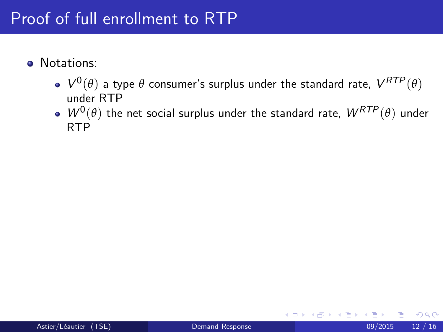- **·** Notations:
	- $V^0(\theta)$  a type  $\theta$  consumer's surplus under the standard rate,  $V^{RTP}(\theta)$ under RTP
	- $W^0(\theta)$  the net social surplus under the standard rate,  $W^{RTP}(\theta)$  under RTP

4 0 8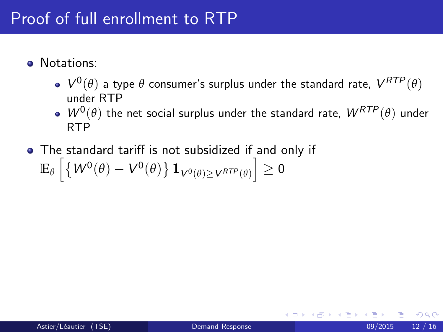- **.** Notations:
	- $V^0(\theta)$  a type  $\theta$  consumer's surplus under the standard rate,  $V^{RTP}(\theta)$ under RTP
	- $W^0(\theta)$  the net social surplus under the standard rate,  $W^{RTP}(\theta)$  under RTP
- The standard tariff is not subsidized if and only if  $\mathbb{E}_{\theta}\left[\left\{ W^{0}(\theta)-V^{0}(\theta)\right\} \mathbf{1}_{V^{0}(\theta)\geq V^{RTP}(\theta)}\right]\geq0$

つへへ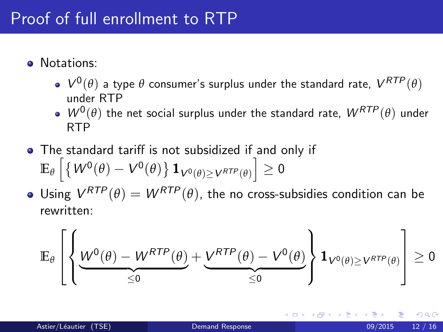- **.** Notations:
	- $V^0(\theta)$  a type  $\theta$  consumer's surplus under the standard rate,  $V^{RTP}(\theta)$ under RTP
	- $W^0(\theta)$  the net social surplus under the standard rate,  $W^{RTP}(\theta)$  under RTP
- The standard tariff is not subsidized if and only if  $\mathbb{E}_{\theta}\left[\left\{ W^{0}(\theta)-V^{0}(\theta)\right\} \mathbf{1}_{V^{0}(\theta)\geq V^{RTP}(\theta)}\right]\geq0$
- Using  $V^{RTP}(\theta) = W^{RTP}(\theta)$ , the no cross-subsidies condition can be rewritten:

$$
\mathbb{E}_{\theta}\left[\left\{\underbrace{W^{0}(\theta)-W^{RTP}(\theta)}_{\leq 0}+\underbrace{V^{RTP}(\theta)-V^{0}(\theta)}_{\leq 0}\right\}\mathbf{1}_{V^{0}(\theta)\geq V^{RTP}(\theta)}\right]\geq 0
$$

つへへ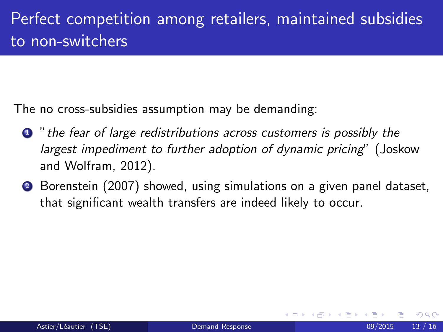The no cross-subsidies assumption may be demanding:

- **1** " the fear of large redistributions across customers is possibly the largest impediment to further adoption of dynamic pricing" (Joskow and Wolfram, 2012).
- <sup>2</sup> Borenstein (2007) showed, using simulations on a given panel dataset, that significant wealth transfers are indeed likely to occur.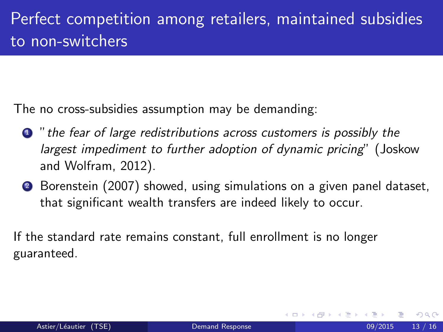The no cross-subsidies assumption may be demanding:

- **1** " the fear of large redistributions across customers is possibly the largest impediment to further adoption of dynamic pricing" (Joskow and Wolfram, 2012).
- **2** Borenstein (2007) showed, using simulations on a given panel dataset, that significant wealth transfers are indeed likely to occur.

If the standard rate remains constant, full enrollment is no longer guaranteed.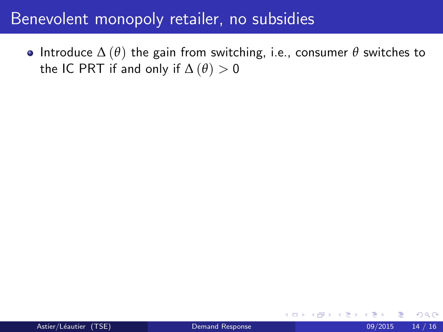• Introduce  $\Delta(\theta)$  the gain from switching, i.e., consumer  $\theta$  switches to the IC PRT if and only if  $\Delta(\theta) > 0$ 

4 0 8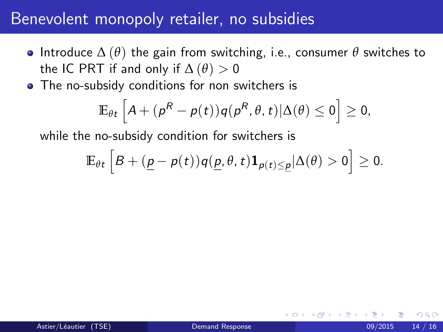- Introduce ∆ (*θ*) the gain from switching, i.e., consumer *θ* switches to the IC PRT if and only if  $\Delta(\theta) > 0$
- The no-subsidy conditions for non switchers is

$$
\mathbb{E}_{\theta t}\left[A + (p^R - p(t))q(p^R, \theta, t)|\Delta(\theta) \leq 0\right] \geq 0,
$$

while the no-subsidy condition for switchers is

$$
\mathbb{E}_{\theta t}\left[B + (\underline{p} - p(t))q(\underline{p}, \theta, t)\mathbf{1}_{p(t)\leq \underline{p}}|\Delta(\theta) > 0\right] \geq 0.
$$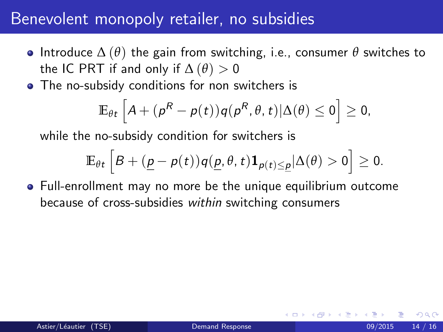- Introduce ∆ (*θ*) the gain from switching, i.e., consumer *θ* switches to the IC PRT if and only if  $\Delta(\theta) > 0$
- The no-subsidy conditions for non switchers is

$$
\mathbb{E}_{\theta t}\left[A + (p^R - p(t))q(p^R, \theta, t)|\Delta(\theta) \leq 0\right] \geq 0,
$$

while the no-subsidy condition for switchers is

$$
\mathbb{E}_{\theta t}\left[B+(\underline{p}-p(t))q(\underline{p},\theta,t)\mathbf{1}_{p(t)\leq \underline{p}}|\Delta(\theta)>0\right]\geq 0.
$$

Full-enrollment may no more be the unique equilibrium outcome because of cross-subsidies within switching consumers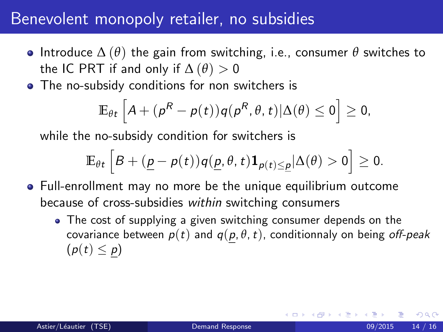- Introduce ∆ (*θ*) the gain from switching, i.e., consumer *θ* switches to the IC PRT if and only if  $\Delta(\theta) > 0$
- The no-subsidy conditions for non switchers is

$$
\mathbb{E}_{\theta t}\left[A + (p^R - p(t))q(p^R, \theta, t)|\Delta(\theta) \leq 0\right] \geq 0,
$$

while the no-subsidy condition for switchers is

$$
\mathbb{E}_{\theta t}\left[B + (\underline{p} - p(t))q(\underline{p}, \theta, t)\mathbf{1}_{p(t)\leq \underline{p}}|\Delta(\theta) > 0\right] \geq 0.
$$

- Full-enrollment may no more be the unique equilibrium outcome because of cross-subsidies within switching consumers
	- The cost of supplying a given switching consumer depends on the covariance between  $p(t)$  and  $q(p, \theta, t)$ , conditionnaly on being off-peak  $(p(t) \leq p)$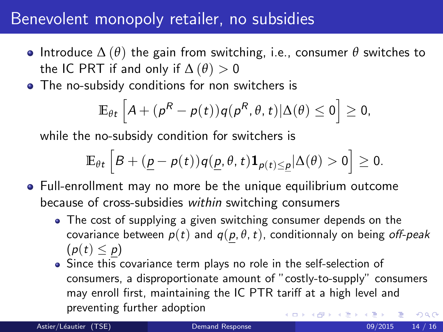- Introduce ∆ (*θ*) the gain from switching, i.e., consumer *θ* switches to the IC PRT if and only if  $\Delta(\theta) > 0$
- The no-subsidy conditions for non switchers is

$$
\mathbb{E}_{\theta t}\left[A + (p^R - p(t))q(p^R, \theta, t)|\Delta(\theta) \leq 0\right] \geq 0,
$$

while the no-subsidy condition for switchers is

$$
\mathbb{E}_{\theta t}\left[B + (\underline{p} - p(t))q(\underline{p}, \theta, t)\mathbf{1}_{p(t) \leq \underline{p}}|\Delta(\theta) > 0\right] \geq 0.
$$

- Full-enrollment may no more be the unique equilibrium outcome because of cross-subsidies within switching consumers
	- The cost of supplying a given switching consumer depends on the covariance between  $p(t)$  and  $q(p, \theta, t)$ , conditionnaly on being off-peak  $(p(t) \leq p)$
	- Since this covariance term plays no role in the self-selection of consumers, a disproportionate amount of "costly-to-supply" consumers may enroll first, maintaining the IC PTR tariff at a high level and preventing further adoption  $\Omega$

Astier/Léautier (TSE) [Demand Response](#page-0-0) 199/2015 14 / 16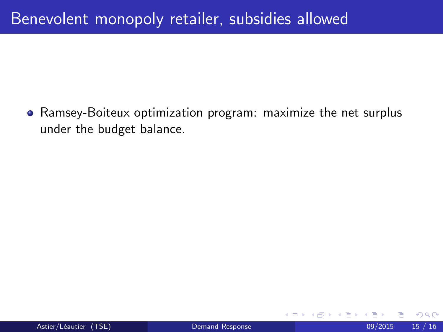Ramsey-Boiteux optimization program: maximize the net surplus under the budget balance.

4 0 8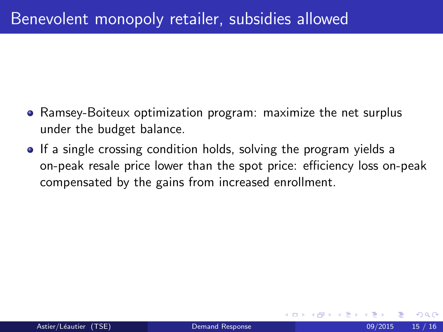- Ramsey-Boiteux optimization program: maximize the net surplus under the budget balance.
- If a single crossing condition holds, solving the program yields a on-peak resale price lower than the spot price: efficiency loss on-peak compensated by the gains from increased enrollment.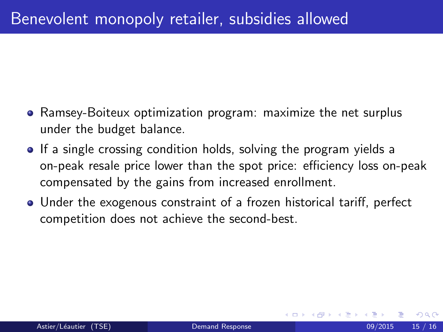- Ramsey-Boiteux optimization program: maximize the net surplus under the budget balance.
- If a single crossing condition holds, solving the program yields a on-peak resale price lower than the spot price: efficiency loss on-peak compensated by the gains from increased enrollment.
- Under the exogenous constraint of a frozen historical tariff, perfect competition does not achieve the second-best.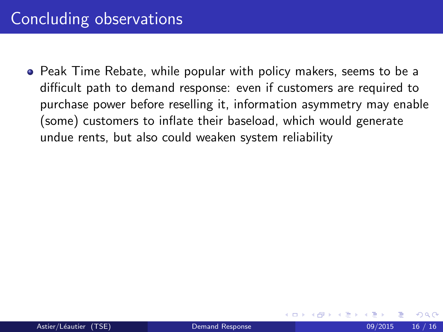Peak Time Rebate, while popular with policy makers, seems to be a difficult path to demand response: even if customers are required to purchase power before reselling it, information asymmetry may enable (some) customers to inflate their baseload, which would generate undue rents, but also could weaken system reliability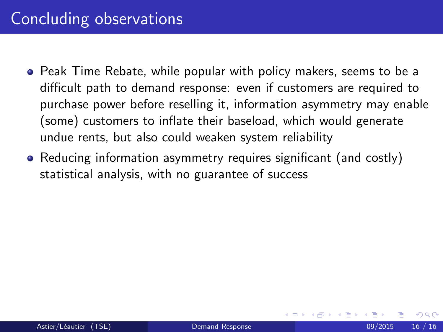- Peak Time Rebate, while popular with policy makers, seems to be a difficult path to demand response: even if customers are required to purchase power before reselling it, information asymmetry may enable (some) customers to inflate their baseload, which would generate undue rents, but also could weaken system reliability
- Reducing information asymmetry requires significant (and costly) statistical analysis, with no guarantee of success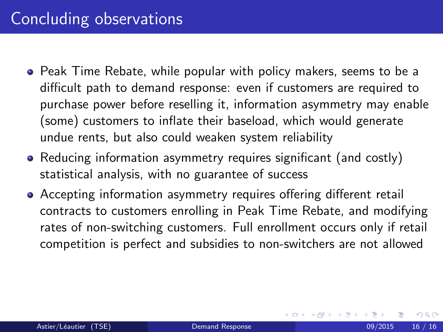- <span id="page-56-0"></span>Peak Time Rebate, while popular with policy makers, seems to be a difficult path to demand response: even if customers are required to purchase power before reselling it, information asymmetry may enable (some) customers to inflate their baseload, which would generate undue rents, but also could weaken system reliability
- Reducing information asymmetry requires significant (and costly) statistical analysis, with no guarantee of success
- Accepting information asymmetry requires offering different retail contracts to customers enrolling in Peak Time Rebate, and modifying rates of non-switching customers. Full enrollment occurs only if retail competition is perfect and subsidies to non-switchers are not allowed

4 0 8